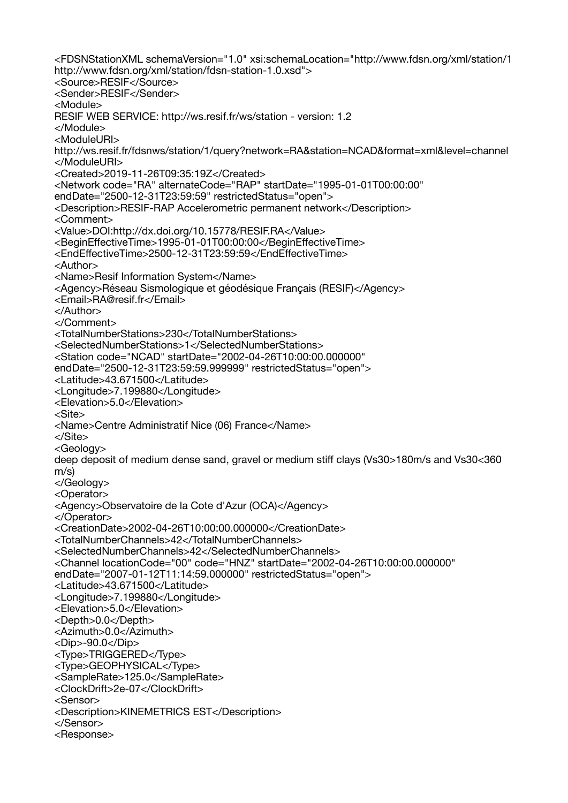<FDSNStationXML schemaVersion="1.0" xsi:schemaLocation="http://www.fdsn.org/xml/station/1 http://www.fdsn.org/xml/station/fdsn-station-1.0.xsd"> <Source>RESIF</Source> <Sender>RESIF</Sender> <Module> RESIF WEB SERVICE: http://ws.resif.fr/ws/station - version: 1.2 </Module> <ModuleURI> http://ws.resif.fr/fdsnws/station/1/query?network=RA&station=NCAD&format=xml&level=channel </ModuleURI> <Created>2019-11-26T09:35:19Z</Created> <Network code="RA" alternateCode="RAP" startDate="1995-01-01T00:00:00" endDate="2500-12-31T23:59:59" restrictedStatus="open"> <Description>RESIF-RAP Accelerometric permanent network</Description> <Comment> <Value>DOI:http://dx.doi.org/10.15778/RESIF.RA</Value> <BeginEffectiveTime>1995-01-01T00:00:00</BeginEffectiveTime> <EndEffectiveTime>2500-12-31T23:59:59</EndEffectiveTime> <Author> <Name>Resif Information System</Name> <Agency>Réseau Sismologique et géodésique Français (RESIF)</Agency> <Email>RA@resif.fr</Email> </Author> </Comment> <TotalNumberStations>230</TotalNumberStations> <SelectedNumberStations>1</SelectedNumberStations> <Station code="NCAD" startDate="2002-04-26T10:00:00.000000" endDate="2500-12-31T23:59:59.999999" restrictedStatus="open"> <Latitude>43.671500</Latitude> <Longitude>7.199880</Longitude> <Elevation>5.0</Elevation> <Site> <Name>Centre Administratif Nice (06) France</Name> </Site> <Geology> deep deposit of medium dense sand, gravel or medium stiff clays (Vs30>180m/s and Vs30<360 m/s) </Geology> <Operator> <Agency>Observatoire de la Cote d'Azur (OCA)</Agency> </Operator> <CreationDate>2002-04-26T10:00:00.000000</CreationDate> <TotalNumberChannels>42</TotalNumberChannels> <SelectedNumberChannels>42</SelectedNumberChannels> <Channel locationCode="00" code="HNZ" startDate="2002-04-26T10:00:00.000000" endDate="2007-01-12T11:14:59.000000" restrictedStatus="open"> <Latitude>43.671500</Latitude> <Longitude>7.199880</Longitude> <Elevation>5.0</Elevation> <Depth>0.0</Depth> <Azimuth>0.0</Azimuth> <Dip>-90.0</Dip> <Type>TRIGGERED</Type> <Type>GEOPHYSICAL</Type> <SampleRate>125.0</SampleRate> <ClockDrift>2e-07</ClockDrift> <Sensor> <Description>KINEMETRICS EST</Description> </Sensor> <Response>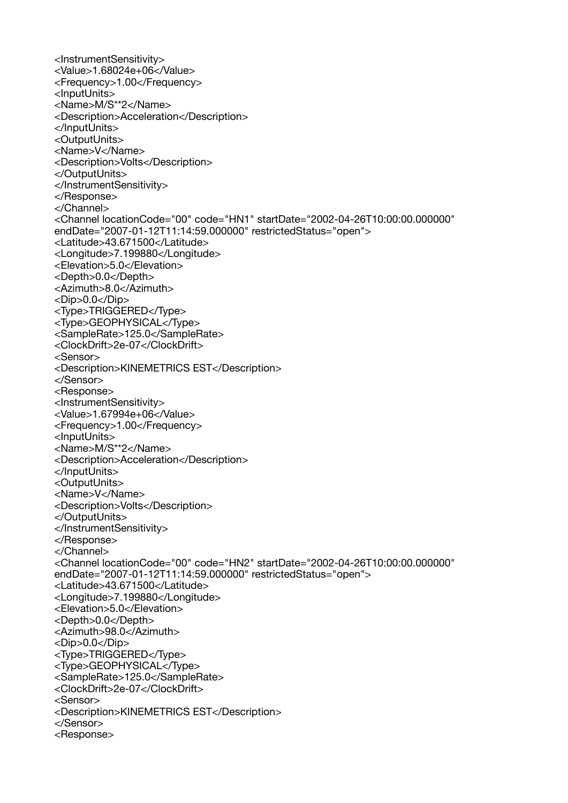<InstrumentSensitivity> <Value>1.68024e+06</Value> <Frequency>1.00</Frequency> <InputUnits> <Name>M/S\*\*2</Name> <Description>Acceleration</Description> </InputUnits> <OutputUnits> <Name>V</Name> <Description>Volts</Description> </OutputUnits> </InstrumentSensitivity> </Response> </Channel> <Channel locationCode="00" code="HN1" startDate="2002-04-26T10:00:00.000000" endDate="2007-01-12T11:14:59.000000" restrictedStatus="open"> <Latitude>43.671500</Latitude> <Longitude>7.199880</Longitude> <Elevation>5.0</Elevation> <Depth>0.0</Depth> <Azimuth>8.0</Azimuth> <Dip>0.0</Dip> <Type>TRIGGERED</Type> <Type>GEOPHYSICAL</Type> <SampleRate>125.0</SampleRate> <ClockDrift>2e-07</ClockDrift> <Sensor> <Description>KINEMETRICS EST</Description> </Sensor> <Response> <InstrumentSensitivity> <Value>1.67994e+06</Value> <Frequency>1.00</Frequency> <InputUnits> <Name>M/S\*\*2</Name> <Description>Acceleration</Description> </InputUnits> <OutputUnits> <Name>V</Name> <Description>Volts</Description> </OutputUnits> </InstrumentSensitivity> </Response> </Channel> <Channel locationCode="00" code="HN2" startDate="2002-04-26T10:00:00.000000" endDate="2007-01-12T11:14:59.000000" restrictedStatus="open"> <Latitude>43.671500</Latitude> <Longitude>7.199880</Longitude> <Elevation>5.0</Elevation> <Depth>0.0</Depth> <Azimuth>98.0</Azimuth> <Dip>0.0</Dip> <Type>TRIGGERED</Type> <Type>GEOPHYSICAL</Type> <SampleRate>125.0</SampleRate> <ClockDrift>2e-07</ClockDrift> <Sensor> <Description>KINEMETRICS EST</Description> </Sensor> <Response>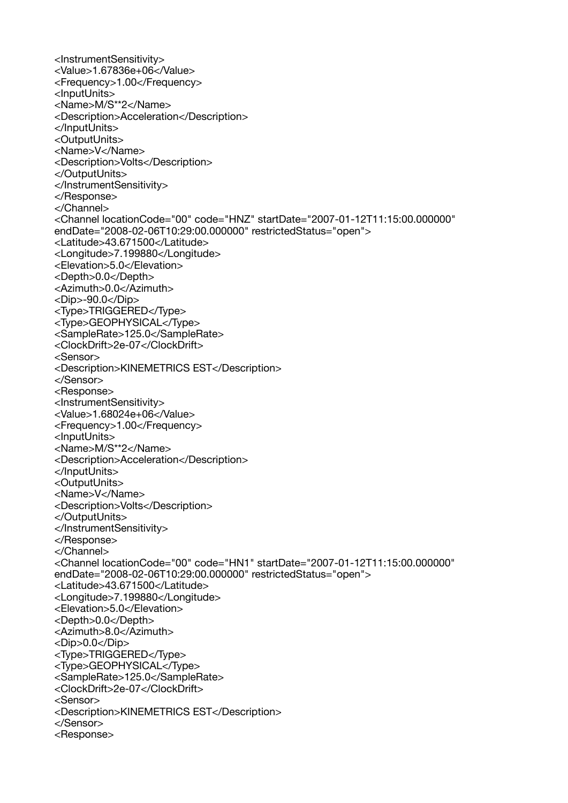<InstrumentSensitivity> <Value>1.67836e+06</Value> <Frequency>1.00</Frequency> <InputUnits> <Name>M/S\*\*2</Name> <Description>Acceleration</Description> </InputUnits> <OutputUnits> <Name>V</Name> <Description>Volts</Description> </OutputUnits> </InstrumentSensitivity> </Response> </Channel> <Channel locationCode="00" code="HNZ" startDate="2007-01-12T11:15:00.000000" endDate="2008-02-06T10:29:00.000000" restrictedStatus="open"> <Latitude>43.671500</Latitude> <Longitude>7.199880</Longitude> <Elevation>5.0</Elevation> <Depth>0.0</Depth> <Azimuth>0.0</Azimuth> <Dip>-90.0</Dip> <Type>TRIGGERED</Type> <Type>GEOPHYSICAL</Type> <SampleRate>125.0</SampleRate> <ClockDrift>2e-07</ClockDrift> <Sensor> <Description>KINEMETRICS EST</Description> </Sensor> <Response> <InstrumentSensitivity> <Value>1.68024e+06</Value> <Frequency>1.00</Frequency> <InputUnits> <Name>M/S\*\*2</Name> <Description>Acceleration</Description> </InputUnits> <OutputUnits> <Name>V</Name> <Description>Volts</Description> </OutputUnits> </InstrumentSensitivity> </Response> </Channel> <Channel locationCode="00" code="HN1" startDate="2007-01-12T11:15:00.000000" endDate="2008-02-06T10:29:00.000000" restrictedStatus="open"> <Latitude>43.671500</Latitude> <Longitude>7.199880</Longitude> <Elevation>5.0</Elevation> <Depth>0.0</Depth> <Azimuth>8.0</Azimuth> <Dip>0.0</Dip> <Type>TRIGGERED</Type> <Type>GEOPHYSICAL</Type> <SampleRate>125.0</SampleRate> <ClockDrift>2e-07</ClockDrift> <Sensor> <Description>KINEMETRICS EST</Description> </Sensor> <Response>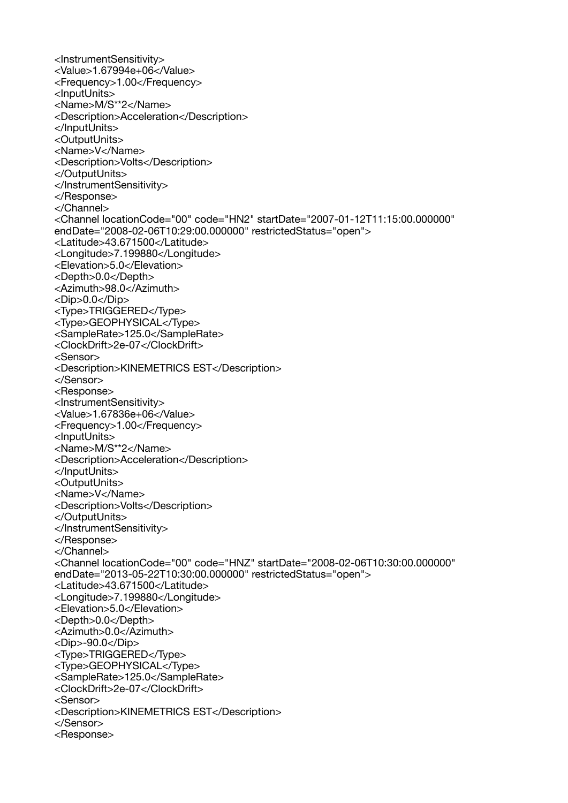<InstrumentSensitivity> <Value>1.67994e+06</Value> <Frequency>1.00</Frequency> <InputUnits> <Name>M/S\*\*2</Name> <Description>Acceleration</Description> </InputUnits> <OutputUnits> <Name>V</Name> <Description>Volts</Description> </OutputUnits> </InstrumentSensitivity> </Response> </Channel> <Channel locationCode="00" code="HN2" startDate="2007-01-12T11:15:00.000000" endDate="2008-02-06T10:29:00.000000" restrictedStatus="open"> <Latitude>43.671500</Latitude> <Longitude>7.199880</Longitude> <Elevation>5.0</Elevation> <Depth>0.0</Depth> <Azimuth>98.0</Azimuth> <Dip>0.0</Dip> <Type>TRIGGERED</Type> <Type>GEOPHYSICAL</Type> <SampleRate>125.0</SampleRate> <ClockDrift>2e-07</ClockDrift> <Sensor> <Description>KINEMETRICS EST</Description> </Sensor> <Response> <InstrumentSensitivity> <Value>1.67836e+06</Value> <Frequency>1.00</Frequency> <InputUnits> <Name>M/S\*\*2</Name> <Description>Acceleration</Description> </InputUnits> <OutputUnits> <Name>V</Name> <Description>Volts</Description> </OutputUnits> </InstrumentSensitivity> </Response> </Channel> <Channel locationCode="00" code="HNZ" startDate="2008-02-06T10:30:00.000000" endDate="2013-05-22T10:30:00.000000" restrictedStatus="open"> <Latitude>43.671500</Latitude> <Longitude>7.199880</Longitude> <Elevation>5.0</Elevation> <Depth>0.0</Depth> <Azimuth>0.0</Azimuth> <Dip>-90.0</Dip> <Type>TRIGGERED</Type> <Type>GEOPHYSICAL</Type> <SampleRate>125.0</SampleRate> <ClockDrift>2e-07</ClockDrift> <Sensor> <Description>KINEMETRICS EST</Description> </Sensor> <Response>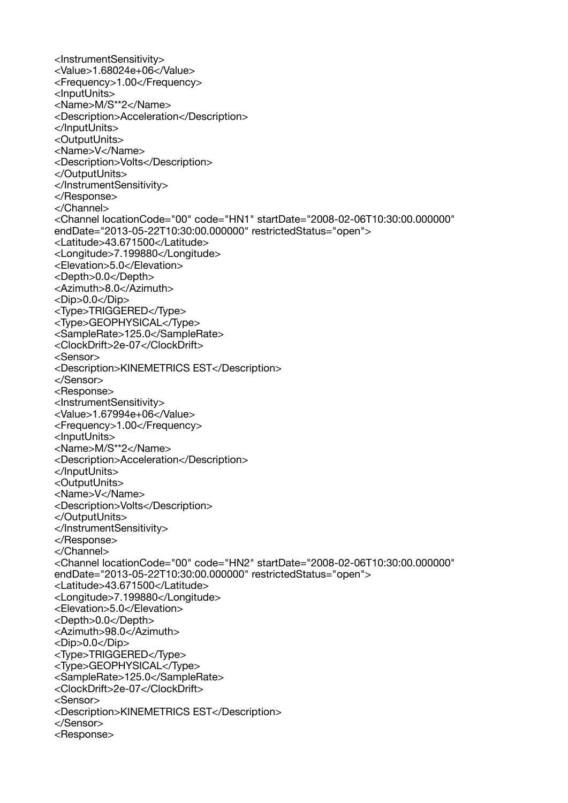<InstrumentSensitivity> <Value>1.68024e+06</Value> <Frequency>1.00</Frequency> <InputUnits> <Name>M/S\*\*2</Name> <Description>Acceleration</Description> </InputUnits> <OutputUnits> <Name>V</Name> <Description>Volts</Description> </OutputUnits> </InstrumentSensitivity> </Response> </Channel> <Channel locationCode="00" code="HN1" startDate="2008-02-06T10:30:00.000000" endDate="2013-05-22T10:30:00.000000" restrictedStatus="open"> <Latitude>43.671500</Latitude> <Longitude>7.199880</Longitude> <Elevation>5.0</Elevation> <Depth>0.0</Depth> <Azimuth>8.0</Azimuth> <Dip>0.0</Dip> <Type>TRIGGERED</Type> <Type>GEOPHYSICAL</Type> <SampleRate>125.0</SampleRate> <ClockDrift>2e-07</ClockDrift> <Sensor> <Description>KINEMETRICS EST</Description> </Sensor> <Response> <InstrumentSensitivity> <Value>1.67994e+06</Value> <Frequency>1.00</Frequency> <InputUnits> <Name>M/S\*\*2</Name> <Description>Acceleration</Description> </InputUnits> <OutputUnits> <Name>V</Name> <Description>Volts</Description> </OutputUnits> </InstrumentSensitivity> </Response> </Channel> <Channel locationCode="00" code="HN2" startDate="2008-02-06T10:30:00.000000" endDate="2013-05-22T10:30:00.000000" restrictedStatus="open"> <Latitude>43.671500</Latitude> <Longitude>7.199880</Longitude> <Elevation>5.0</Elevation> <Depth>0.0</Depth> <Azimuth>98.0</Azimuth> <Dip>0.0</Dip> <Type>TRIGGERED</Type> <Type>GEOPHYSICAL</Type> <SampleRate>125.0</SampleRate> <ClockDrift>2e-07</ClockDrift> <Sensor> <Description>KINEMETRICS EST</Description> </Sensor> <Response>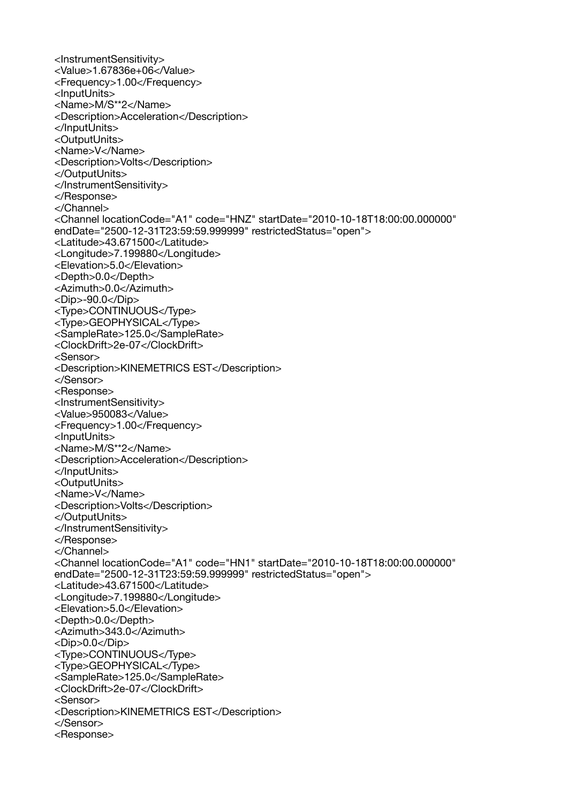<InstrumentSensitivity> <Value>1.67836e+06</Value> <Frequency>1.00</Frequency> <InputUnits> <Name>M/S\*\*2</Name> <Description>Acceleration</Description> </InputUnits> <OutputUnits> <Name>V</Name> <Description>Volts</Description> </OutputUnits> </InstrumentSensitivity> </Response> </Channel> <Channel locationCode="A1" code="HNZ" startDate="2010-10-18T18:00:00.000000" endDate="2500-12-31T23:59:59.999999" restrictedStatus="open"> <Latitude>43.671500</Latitude> <Longitude>7.199880</Longitude> <Elevation>5.0</Elevation> <Depth>0.0</Depth> <Azimuth>0.0</Azimuth> <Dip>-90.0</Dip> <Type>CONTINUOUS</Type> <Type>GEOPHYSICAL</Type> <SampleRate>125.0</SampleRate> <ClockDrift>2e-07</ClockDrift> <Sensor> <Description>KINEMETRICS EST</Description> </Sensor> <Response> <InstrumentSensitivity> <Value>950083</Value> <Frequency>1.00</Frequency> <InputUnits> <Name>M/S\*\*2</Name> <Description>Acceleration</Description> </InputUnits> <OutputUnits> <Name>V</Name> <Description>Volts</Description> </OutputUnits> </InstrumentSensitivity> </Response> </Channel> <Channel locationCode="A1" code="HN1" startDate="2010-10-18T18:00:00.000000" endDate="2500-12-31T23:59:59.999999" restrictedStatus="open"> <Latitude>43.671500</Latitude> <Longitude>7.199880</Longitude> <Elevation>5.0</Elevation> <Depth>0.0</Depth> <Azimuth>343.0</Azimuth> <Dip>0.0</Dip> <Type>CONTINUOUS</Type> <Type>GEOPHYSICAL</Type> <SampleRate>125.0</SampleRate> <ClockDrift>2e-07</ClockDrift> <Sensor> <Description>KINEMETRICS EST</Description> </Sensor> <Response>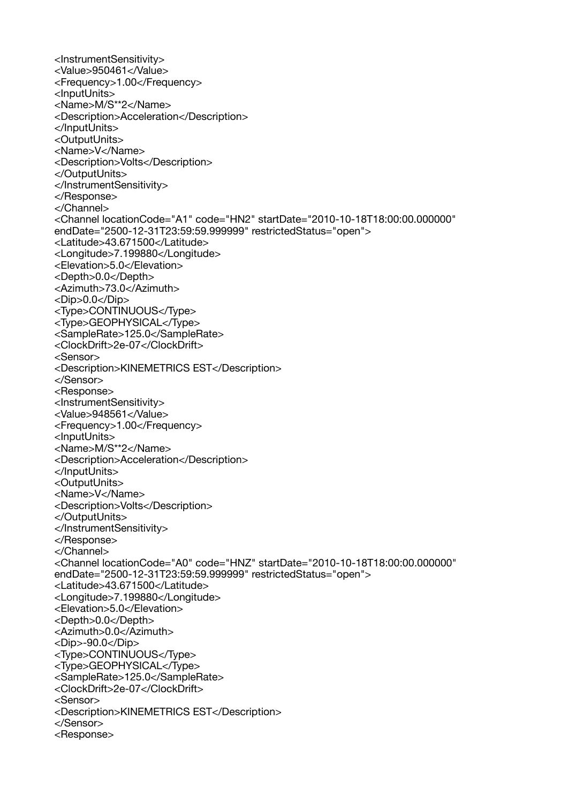<InstrumentSensitivity> <Value>950461</Value> <Frequency>1.00</Frequency> <InputUnits> <Name>M/S\*\*2</Name> <Description>Acceleration</Description> </InputUnits> <OutputUnits> <Name>V</Name> <Description>Volts</Description> </OutputUnits> </InstrumentSensitivity> </Response> </Channel> <Channel locationCode="A1" code="HN2" startDate="2010-10-18T18:00:00.000000" endDate="2500-12-31T23:59:59.999999" restrictedStatus="open"> <Latitude>43.671500</Latitude> <Longitude>7.199880</Longitude> <Elevation>5.0</Elevation> <Depth>0.0</Depth> <Azimuth>73.0</Azimuth> <Dip>0.0</Dip> <Type>CONTINUOUS</Type> <Type>GEOPHYSICAL</Type> <SampleRate>125.0</SampleRate> <ClockDrift>2e-07</ClockDrift> <Sensor> <Description>KINEMETRICS EST</Description> </Sensor> <Response> <InstrumentSensitivity> <Value>948561</Value> <Frequency>1.00</Frequency> <InputUnits> <Name>M/S\*\*2</Name> <Description>Acceleration</Description> </InputUnits> <OutputUnits> <Name>V</Name> <Description>Volts</Description> </OutputUnits> </InstrumentSensitivity> </Response> </Channel> <Channel locationCode="A0" code="HNZ" startDate="2010-10-18T18:00:00.000000" endDate="2500-12-31T23:59:59.999999" restrictedStatus="open"> <Latitude>43.671500</Latitude> <Longitude>7.199880</Longitude> <Elevation>5.0</Elevation> <Depth>0.0</Depth> <Azimuth>0.0</Azimuth> <Dip>-90.0</Dip> <Type>CONTINUOUS</Type> <Type>GEOPHYSICAL</Type> <SampleRate>125.0</SampleRate> <ClockDrift>2e-07</ClockDrift> <Sensor> <Description>KINEMETRICS EST</Description> </Sensor> <Response>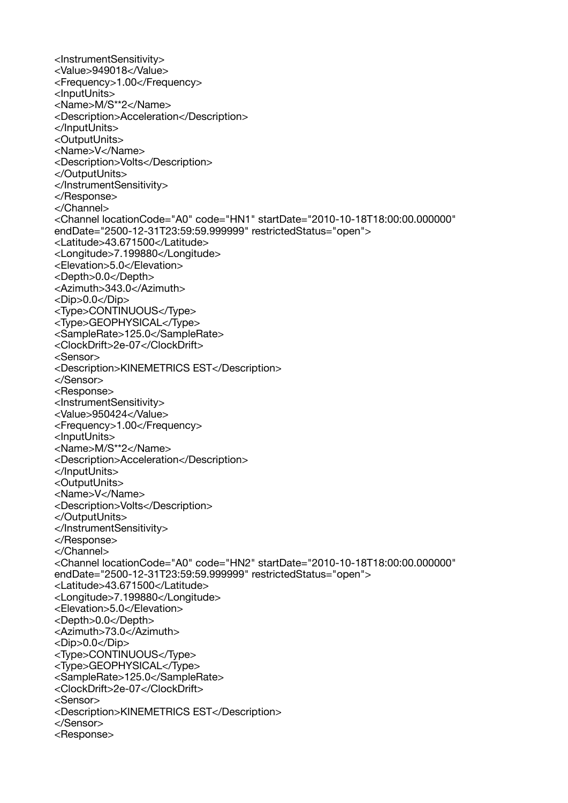<InstrumentSensitivity> <Value>949018</Value> <Frequency>1.00</Frequency> <InputUnits> <Name>M/S\*\*2</Name> <Description>Acceleration</Description> </InputUnits> <OutputUnits> <Name>V</Name> <Description>Volts</Description> </OutputUnits> </InstrumentSensitivity> </Response> </Channel> <Channel locationCode="A0" code="HN1" startDate="2010-10-18T18:00:00.000000" endDate="2500-12-31T23:59:59.999999" restrictedStatus="open"> <Latitude>43.671500</Latitude> <Longitude>7.199880</Longitude> <Elevation>5.0</Elevation> <Depth>0.0</Depth> <Azimuth>343.0</Azimuth> <Dip>0.0</Dip> <Type>CONTINUOUS</Type> <Type>GEOPHYSICAL</Type> <SampleRate>125.0</SampleRate> <ClockDrift>2e-07</ClockDrift> <Sensor> <Description>KINEMETRICS EST</Description> </Sensor> <Response> <InstrumentSensitivity> <Value>950424</Value> <Frequency>1.00</Frequency> <InputUnits> <Name>M/S\*\*2</Name> <Description>Acceleration</Description> </InputUnits> <OutputUnits> <Name>V</Name> <Description>Volts</Description> </OutputUnits> </InstrumentSensitivity> </Response> </Channel> <Channel locationCode="A0" code="HN2" startDate="2010-10-18T18:00:00.000000" endDate="2500-12-31T23:59:59.999999" restrictedStatus="open"> <Latitude>43.671500</Latitude> <Longitude>7.199880</Longitude> <Elevation>5.0</Elevation> <Depth>0.0</Depth> <Azimuth>73.0</Azimuth> <Dip>0.0</Dip> <Type>CONTINUOUS</Type> <Type>GEOPHYSICAL</Type> <SampleRate>125.0</SampleRate> <ClockDrift>2e-07</ClockDrift> <Sensor> <Description>KINEMETRICS EST</Description> </Sensor> <Response>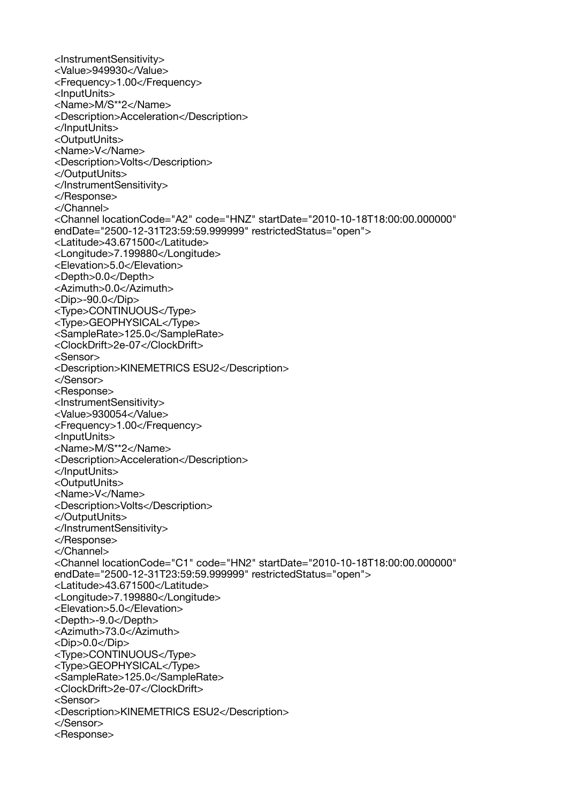<InstrumentSensitivity> <Value>949930</Value> <Frequency>1.00</Frequency> <InputUnits> <Name>M/S\*\*2</Name> <Description>Acceleration</Description> </InputUnits> <OutputUnits> <Name>V</Name> <Description>Volts</Description> </OutputUnits> </InstrumentSensitivity> </Response> </Channel> <Channel locationCode="A2" code="HNZ" startDate="2010-10-18T18:00:00.000000" endDate="2500-12-31T23:59:59.999999" restrictedStatus="open"> <Latitude>43.671500</Latitude> <Longitude>7.199880</Longitude> <Elevation>5.0</Elevation> <Depth>0.0</Depth> <Azimuth>0.0</Azimuth> <Dip>-90.0</Dip> <Type>CONTINUOUS</Type> <Type>GEOPHYSICAL</Type> <SampleRate>125.0</SampleRate> <ClockDrift>2e-07</ClockDrift> <Sensor> <Description>KINEMETRICS ESU2</Description> </Sensor> <Response> <InstrumentSensitivity> <Value>930054</Value> <Frequency>1.00</Frequency> <InputUnits> <Name>M/S\*\*2</Name> <Description>Acceleration</Description> </InputUnits> <OutputUnits> <Name>V</Name> <Description>Volts</Description> </OutputUnits> </InstrumentSensitivity> </Response> </Channel> <Channel locationCode="C1" code="HN2" startDate="2010-10-18T18:00:00.000000" endDate="2500-12-31T23:59:59.999999" restrictedStatus="open"> <Latitude>43.671500</Latitude> <Longitude>7.199880</Longitude> <Elevation>5.0</Elevation> <Depth>-9.0</Depth> <Azimuth>73.0</Azimuth> <Dip>0.0</Dip> <Type>CONTINUOUS</Type> <Type>GEOPHYSICAL</Type> <SampleRate>125.0</SampleRate> <ClockDrift>2e-07</ClockDrift> <Sensor> <Description>KINEMETRICS ESU2</Description> </Sensor> <Response>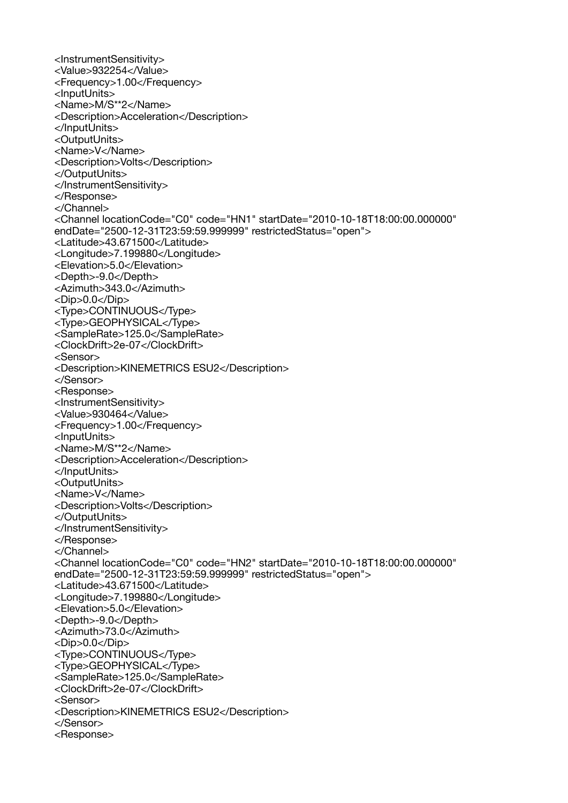<InstrumentSensitivity> <Value>932254</Value> <Frequency>1.00</Frequency> <InputUnits> <Name>M/S\*\*2</Name> <Description>Acceleration</Description> </InputUnits> <OutputUnits> <Name>V</Name> <Description>Volts</Description> </OutputUnits> </InstrumentSensitivity> </Response> </Channel> <Channel locationCode="C0" code="HN1" startDate="2010-10-18T18:00:00.000000" endDate="2500-12-31T23:59:59.999999" restrictedStatus="open"> <Latitude>43.671500</Latitude> <Longitude>7.199880</Longitude> <Elevation>5.0</Elevation> <Depth>-9.0</Depth> <Azimuth>343.0</Azimuth> <Dip>0.0</Dip> <Type>CONTINUOUS</Type> <Type>GEOPHYSICAL</Type> <SampleRate>125.0</SampleRate> <ClockDrift>2e-07</ClockDrift> <Sensor> <Description>KINEMETRICS ESU2</Description> </Sensor> <Response> <InstrumentSensitivity> <Value>930464</Value> <Frequency>1.00</Frequency> <InputUnits> <Name>M/S\*\*2</Name> <Description>Acceleration</Description> </InputUnits> <OutputUnits> <Name>V</Name> <Description>Volts</Description> </OutputUnits> </InstrumentSensitivity> </Response> </Channel> <Channel locationCode="C0" code="HN2" startDate="2010-10-18T18:00:00.000000" endDate="2500-12-31T23:59:59.999999" restrictedStatus="open"> <Latitude>43.671500</Latitude> <Longitude>7.199880</Longitude> <Elevation>5.0</Elevation> <Depth>-9.0</Depth> <Azimuth>73.0</Azimuth> <Dip>0.0</Dip> <Type>CONTINUOUS</Type> <Type>GEOPHYSICAL</Type> <SampleRate>125.0</SampleRate> <ClockDrift>2e-07</ClockDrift> <Sensor> <Description>KINEMETRICS ESU2</Description> </Sensor> <Response>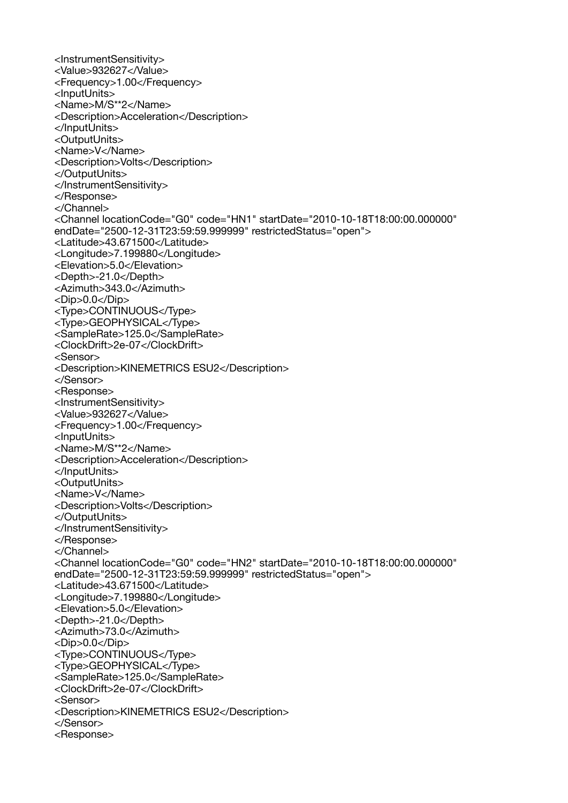<InstrumentSensitivity> <Value>932627</Value> <Frequency>1.00</Frequency> <InputUnits> <Name>M/S\*\*2</Name> <Description>Acceleration</Description> </InputUnits> <OutputUnits> <Name>V</Name> <Description>Volts</Description> </OutputUnits> </InstrumentSensitivity> </Response> </Channel> <Channel locationCode="G0" code="HN1" startDate="2010-10-18T18:00:00.000000" endDate="2500-12-31T23:59:59.999999" restrictedStatus="open"> <Latitude>43.671500</Latitude> <Longitude>7.199880</Longitude> <Elevation>5.0</Elevation> <Depth>-21.0</Depth> <Azimuth>343.0</Azimuth> <Dip>0.0</Dip> <Type>CONTINUOUS</Type> <Type>GEOPHYSICAL</Type> <SampleRate>125.0</SampleRate> <ClockDrift>2e-07</ClockDrift> <Sensor> <Description>KINEMETRICS ESU2</Description> </Sensor> <Response> <InstrumentSensitivity> <Value>932627</Value> <Frequency>1.00</Frequency> <InputUnits> <Name>M/S\*\*2</Name> <Description>Acceleration</Description> </InputUnits> <OutputUnits> <Name>V</Name> <Description>Volts</Description> </OutputUnits> </InstrumentSensitivity> </Response> </Channel> <Channel locationCode="G0" code="HN2" startDate="2010-10-18T18:00:00.000000" endDate="2500-12-31T23:59:59.999999" restrictedStatus="open"> <Latitude>43.671500</Latitude> <Longitude>7.199880</Longitude> <Elevation>5.0</Elevation> <Depth>-21.0</Depth> <Azimuth>73.0</Azimuth> <Dip>0.0</Dip> <Type>CONTINUOUS</Type> <Type>GEOPHYSICAL</Type> <SampleRate>125.0</SampleRate> <ClockDrift>2e-07</ClockDrift> <Sensor> <Description>KINEMETRICS ESU2</Description> </Sensor> <Response>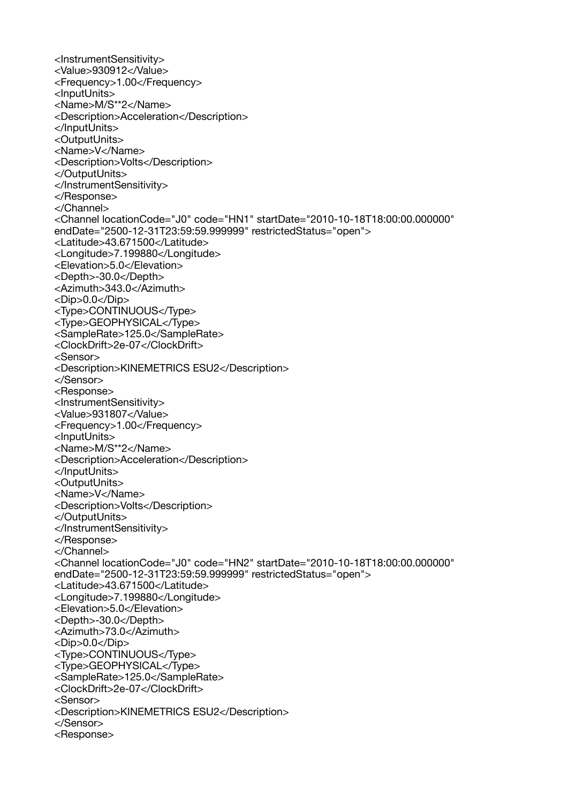<InstrumentSensitivity> <Value>930912</Value> <Frequency>1.00</Frequency> <InputUnits> <Name>M/S\*\*2</Name> <Description>Acceleration</Description> </InputUnits> <OutputUnits> <Name>V</Name> <Description>Volts</Description> </OutputUnits> </InstrumentSensitivity> </Response> </Channel> <Channel locationCode="J0" code="HN1" startDate="2010-10-18T18:00:00.000000" endDate="2500-12-31T23:59:59.999999" restrictedStatus="open"> <Latitude>43.671500</Latitude> <Longitude>7.199880</Longitude> <Elevation>5.0</Elevation> <Depth>-30.0</Depth> <Azimuth>343.0</Azimuth> <Dip>0.0</Dip> <Type>CONTINUOUS</Type> <Type>GEOPHYSICAL</Type> <SampleRate>125.0</SampleRate> <ClockDrift>2e-07</ClockDrift> <Sensor> <Description>KINEMETRICS ESU2</Description> </Sensor> <Response> <InstrumentSensitivity> <Value>931807</Value> <Frequency>1.00</Frequency> <InputUnits> <Name>M/S\*\*2</Name> <Description>Acceleration</Description> </InputUnits> <OutputUnits> <Name>V</Name> <Description>Volts</Description> </OutputUnits> </InstrumentSensitivity> </Response> </Channel> <Channel locationCode="J0" code="HN2" startDate="2010-10-18T18:00:00.000000" endDate="2500-12-31T23:59:59.999999" restrictedStatus="open"> <Latitude>43.671500</Latitude> <Longitude>7.199880</Longitude> <Elevation>5.0</Elevation> <Depth>-30.0</Depth> <Azimuth>73.0</Azimuth> <Dip>0.0</Dip> <Type>CONTINUOUS</Type> <Type>GEOPHYSICAL</Type> <SampleRate>125.0</SampleRate> <ClockDrift>2e-07</ClockDrift> <Sensor> <Description>KINEMETRICS ESU2</Description> </Sensor> <Response>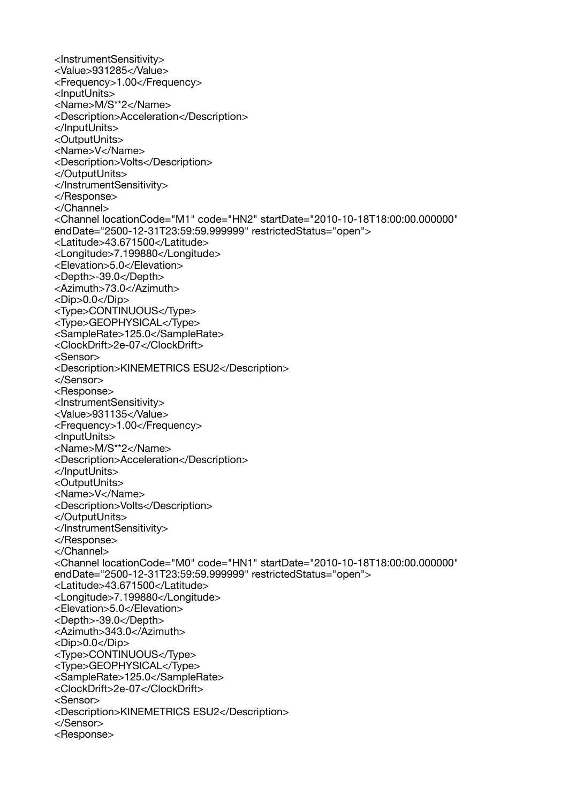<InstrumentSensitivity> <Value>931285</Value> <Frequency>1.00</Frequency> <InputUnits> <Name>M/S\*\*2</Name> <Description>Acceleration</Description> </InputUnits> <OutputUnits> <Name>V</Name> <Description>Volts</Description> </OutputUnits> </InstrumentSensitivity> </Response> </Channel> <Channel locationCode="M1" code="HN2" startDate="2010-10-18T18:00:00.000000" endDate="2500-12-31T23:59:59.999999" restrictedStatus="open"> <Latitude>43.671500</Latitude> <Longitude>7.199880</Longitude> <Elevation>5.0</Elevation> <Depth>-39.0</Depth> <Azimuth>73.0</Azimuth> <Dip>0.0</Dip> <Type>CONTINUOUS</Type> <Type>GEOPHYSICAL</Type> <SampleRate>125.0</SampleRate> <ClockDrift>2e-07</ClockDrift> <Sensor> <Description>KINEMETRICS ESU2</Description> </Sensor> <Response> <InstrumentSensitivity> <Value>931135</Value> <Frequency>1.00</Frequency> <InputUnits> <Name>M/S\*\*2</Name> <Description>Acceleration</Description> </InputUnits> <OutputUnits> <Name>V</Name> <Description>Volts</Description> </OutputUnits> </InstrumentSensitivity> </Response> </Channel> <Channel locationCode="M0" code="HN1" startDate="2010-10-18T18:00:00.000000" endDate="2500-12-31T23:59:59.999999" restrictedStatus="open"> <Latitude>43.671500</Latitude> <Longitude>7.199880</Longitude> <Elevation>5.0</Elevation> <Depth>-39.0</Depth> <Azimuth>343.0</Azimuth> <Dip>0.0</Dip> <Type>CONTINUOUS</Type> <Type>GEOPHYSICAL</Type> <SampleRate>125.0</SampleRate> <ClockDrift>2e-07</ClockDrift> <Sensor> <Description>KINEMETRICS ESU2</Description> </Sensor> <Response>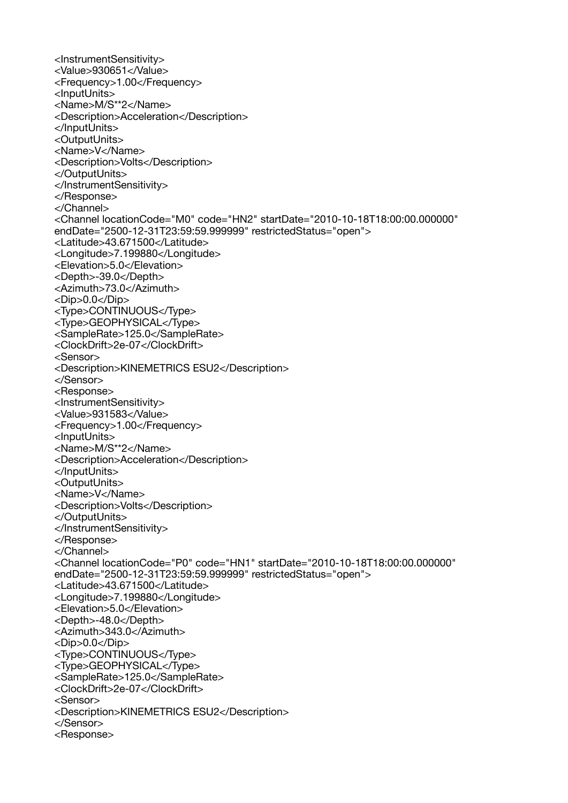<InstrumentSensitivity> <Value>930651</Value> <Frequency>1.00</Frequency> <InputUnits> <Name>M/S\*\*2</Name> <Description>Acceleration</Description> </InputUnits> <OutputUnits> <Name>V</Name> <Description>Volts</Description> </OutputUnits> </InstrumentSensitivity> </Response> </Channel> <Channel locationCode="M0" code="HN2" startDate="2010-10-18T18:00:00.000000" endDate="2500-12-31T23:59:59.999999" restrictedStatus="open"> <Latitude>43.671500</Latitude> <Longitude>7.199880</Longitude> <Elevation>5.0</Elevation> <Depth>-39.0</Depth> <Azimuth>73.0</Azimuth> <Dip>0.0</Dip> <Type>CONTINUOUS</Type> <Type>GEOPHYSICAL</Type> <SampleRate>125.0</SampleRate> <ClockDrift>2e-07</ClockDrift> <Sensor> <Description>KINEMETRICS ESU2</Description> </Sensor> <Response> <InstrumentSensitivity> <Value>931583</Value> <Frequency>1.00</Frequency> <InputUnits> <Name>M/S\*\*2</Name> <Description>Acceleration</Description> </InputUnits> <OutputUnits> <Name>V</Name> <Description>Volts</Description> </OutputUnits> </InstrumentSensitivity> </Response> </Channel> <Channel locationCode="P0" code="HN1" startDate="2010-10-18T18:00:00.000000" endDate="2500-12-31T23:59:59.999999" restrictedStatus="open"> <Latitude>43.671500</Latitude> <Longitude>7.199880</Longitude> <Elevation>5.0</Elevation> <Depth>-48.0</Depth> <Azimuth>343.0</Azimuth> <Dip>0.0</Dip> <Type>CONTINUOUS</Type> <Type>GEOPHYSICAL</Type> <SampleRate>125.0</SampleRate> <ClockDrift>2e-07</ClockDrift> <Sensor> <Description>KINEMETRICS ESU2</Description> </Sensor> <Response>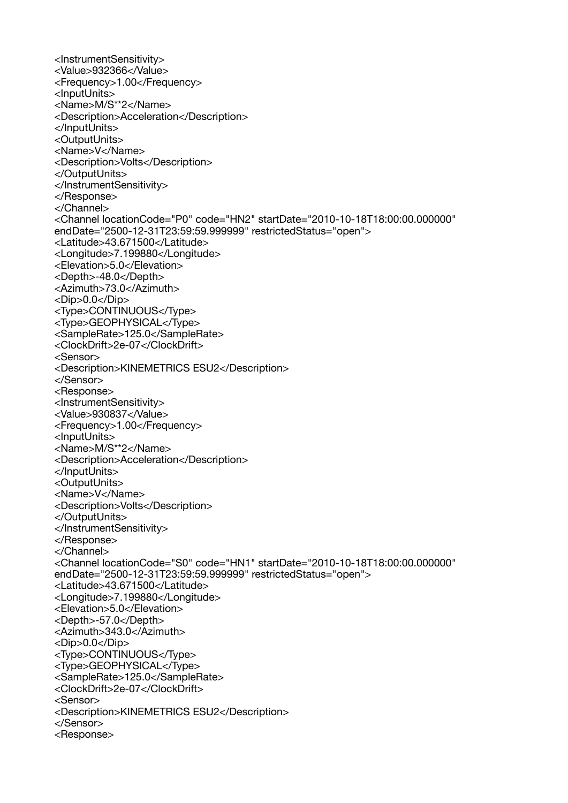<InstrumentSensitivity> <Value>932366</Value> <Frequency>1.00</Frequency> <InputUnits> <Name>M/S\*\*2</Name> <Description>Acceleration</Description> </InputUnits> <OutputUnits> <Name>V</Name> <Description>Volts</Description> </OutputUnits> </InstrumentSensitivity> </Response> </Channel> <Channel locationCode="P0" code="HN2" startDate="2010-10-18T18:00:00.000000" endDate="2500-12-31T23:59:59.999999" restrictedStatus="open"> <Latitude>43.671500</Latitude> <Longitude>7.199880</Longitude> <Elevation>5.0</Elevation> <Depth>-48.0</Depth> <Azimuth>73.0</Azimuth> <Dip>0.0</Dip> <Type>CONTINUOUS</Type> <Type>GEOPHYSICAL</Type> <SampleRate>125.0</SampleRate> <ClockDrift>2e-07</ClockDrift> <Sensor> <Description>KINEMETRICS ESU2</Description> </Sensor> <Response> <InstrumentSensitivity> <Value>930837</Value> <Frequency>1.00</Frequency> <InputUnits> <Name>M/S\*\*2</Name> <Description>Acceleration</Description> </InputUnits> <OutputUnits> <Name>V</Name> <Description>Volts</Description> </OutputUnits> </InstrumentSensitivity> </Response> </Channel> <Channel locationCode="S0" code="HN1" startDate="2010-10-18T18:00:00.000000" endDate="2500-12-31T23:59:59.999999" restrictedStatus="open"> <Latitude>43.671500</Latitude> <Longitude>7.199880</Longitude> <Elevation>5.0</Elevation> <Depth>-57.0</Depth> <Azimuth>343.0</Azimuth> <Dip>0.0</Dip> <Type>CONTINUOUS</Type> <Type>GEOPHYSICAL</Type> <SampleRate>125.0</SampleRate> <ClockDrift>2e-07</ClockDrift> <Sensor> <Description>KINEMETRICS ESU2</Description> </Sensor> <Response>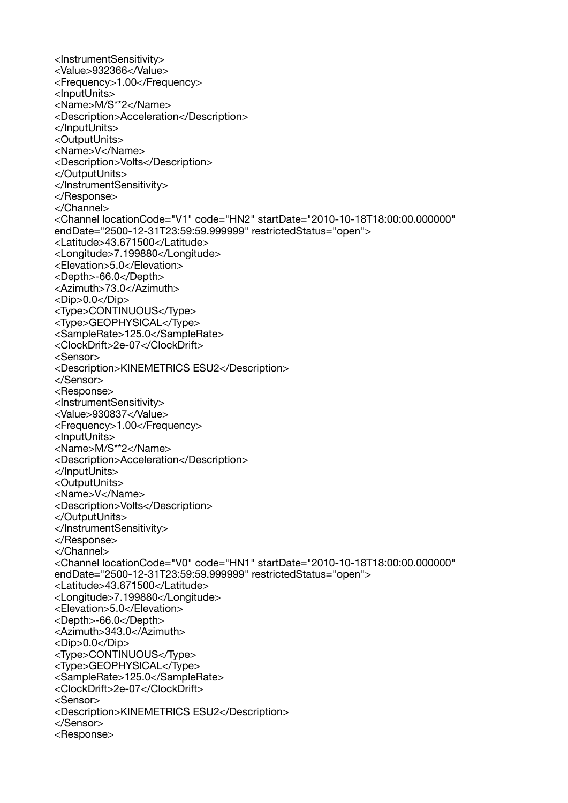<InstrumentSensitivity> <Value>932366</Value> <Frequency>1.00</Frequency> <InputUnits> <Name>M/S\*\*2</Name> <Description>Acceleration</Description> </InputUnits> <OutputUnits> <Name>V</Name> <Description>Volts</Description> </OutputUnits> </InstrumentSensitivity> </Response> </Channel> <Channel locationCode="V1" code="HN2" startDate="2010-10-18T18:00:00.000000" endDate="2500-12-31T23:59:59.999999" restrictedStatus="open"> <Latitude>43.671500</Latitude> <Longitude>7.199880</Longitude> <Elevation>5.0</Elevation> <Depth>-66.0</Depth> <Azimuth>73.0</Azimuth> <Dip>0.0</Dip> <Type>CONTINUOUS</Type> <Type>GEOPHYSICAL</Type> <SampleRate>125.0</SampleRate> <ClockDrift>2e-07</ClockDrift> <Sensor> <Description>KINEMETRICS ESU2</Description> </Sensor> <Response> <InstrumentSensitivity> <Value>930837</Value> <Frequency>1.00</Frequency> <InputUnits> <Name>M/S\*\*2</Name> <Description>Acceleration</Description> </InputUnits> <OutputUnits> <Name>V</Name> <Description>Volts</Description> </OutputUnits> </InstrumentSensitivity> </Response> </Channel> <Channel locationCode="V0" code="HN1" startDate="2010-10-18T18:00:00.000000" endDate="2500-12-31T23:59:59.999999" restrictedStatus="open"> <Latitude>43.671500</Latitude> <Longitude>7.199880</Longitude> <Elevation>5.0</Elevation> <Depth>-66.0</Depth> <Azimuth>343.0</Azimuth> <Dip>0.0</Dip> <Type>CONTINUOUS</Type> <Type>GEOPHYSICAL</Type> <SampleRate>125.0</SampleRate> <ClockDrift>2e-07</ClockDrift> <Sensor> <Description>KINEMETRICS ESU2</Description> </Sensor> <Response>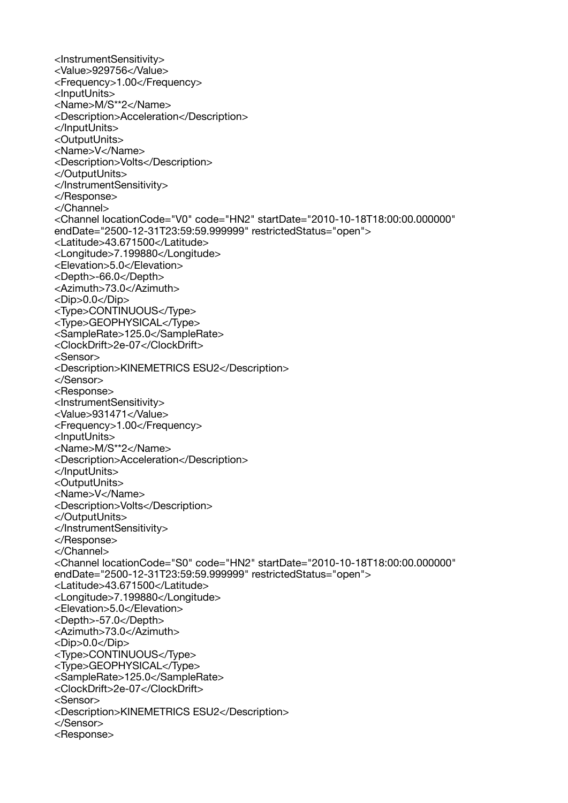<InstrumentSensitivity> <Value>929756</Value> <Frequency>1.00</Frequency> <InputUnits> <Name>M/S\*\*2</Name> <Description>Acceleration</Description> </InputUnits> <OutputUnits> <Name>V</Name> <Description>Volts</Description> </OutputUnits> </InstrumentSensitivity> </Response> </Channel> <Channel locationCode="V0" code="HN2" startDate="2010-10-18T18:00:00.000000" endDate="2500-12-31T23:59:59.999999" restrictedStatus="open"> <Latitude>43.671500</Latitude> <Longitude>7.199880</Longitude> <Elevation>5.0</Elevation> <Depth>-66.0</Depth> <Azimuth>73.0</Azimuth> <Dip>0.0</Dip> <Type>CONTINUOUS</Type> <Type>GEOPHYSICAL</Type> <SampleRate>125.0</SampleRate> <ClockDrift>2e-07</ClockDrift> <Sensor> <Description>KINEMETRICS ESU2</Description> </Sensor> <Response> <InstrumentSensitivity> <Value>931471</Value> <Frequency>1.00</Frequency> <InputUnits> <Name>M/S\*\*2</Name> <Description>Acceleration</Description> </InputUnits> <OutputUnits> <Name>V</Name> <Description>Volts</Description> </OutputUnits> </InstrumentSensitivity> </Response> </Channel> <Channel locationCode="S0" code="HN2" startDate="2010-10-18T18:00:00.000000" endDate="2500-12-31T23:59:59.999999" restrictedStatus="open"> <Latitude>43.671500</Latitude> <Longitude>7.199880</Longitude> <Elevation>5.0</Elevation> <Depth>-57.0</Depth> <Azimuth>73.0</Azimuth> <Dip>0.0</Dip> <Type>CONTINUOUS</Type> <Type>GEOPHYSICAL</Type> <SampleRate>125.0</SampleRate> <ClockDrift>2e-07</ClockDrift> <Sensor> <Description>KINEMETRICS ESU2</Description> </Sensor> <Response>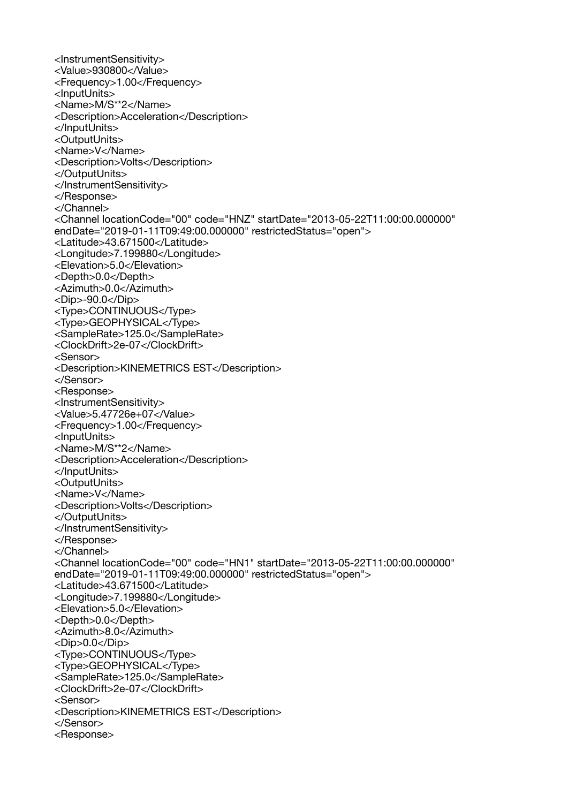<InstrumentSensitivity> <Value>930800</Value> <Frequency>1.00</Frequency> <InputUnits> <Name>M/S\*\*2</Name> <Description>Acceleration</Description> </InputUnits> <OutputUnits> <Name>V</Name> <Description>Volts</Description> </OutputUnits> </InstrumentSensitivity> </Response> </Channel> <Channel locationCode="00" code="HNZ" startDate="2013-05-22T11:00:00.000000" endDate="2019-01-11T09:49:00.000000" restrictedStatus="open"> <Latitude>43.671500</Latitude> <Longitude>7.199880</Longitude> <Elevation>5.0</Elevation> <Depth>0.0</Depth> <Azimuth>0.0</Azimuth> <Dip>-90.0</Dip> <Type>CONTINUOUS</Type> <Type>GEOPHYSICAL</Type> <SampleRate>125.0</SampleRate> <ClockDrift>2e-07</ClockDrift> <Sensor> <Description>KINEMETRICS EST</Description> </Sensor> <Response> <InstrumentSensitivity> <Value>5.47726e+07</Value> <Frequency>1.00</Frequency> <InputUnits> <Name>M/S\*\*2</Name> <Description>Acceleration</Description> </InputUnits> <OutputUnits> <Name>V</Name> <Description>Volts</Description> </OutputUnits> </InstrumentSensitivity> </Response> </Channel> <Channel locationCode="00" code="HN1" startDate="2013-05-22T11:00:00.000000" endDate="2019-01-11T09:49:00.000000" restrictedStatus="open"> <Latitude>43.671500</Latitude> <Longitude>7.199880</Longitude> <Elevation>5.0</Elevation> <Depth>0.0</Depth> <Azimuth>8.0</Azimuth> <Dip>0.0</Dip> <Type>CONTINUOUS</Type> <Type>GEOPHYSICAL</Type> <SampleRate>125.0</SampleRate> <ClockDrift>2e-07</ClockDrift> <Sensor> <Description>KINEMETRICS EST</Description> </Sensor> <Response>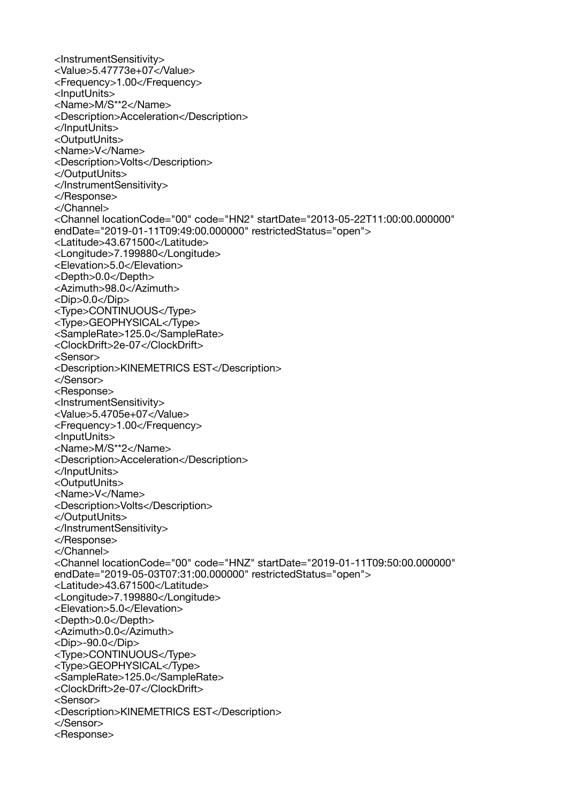<InstrumentSensitivity> <Value>5.47773e+07</Value> <Frequency>1.00</Frequency> <InputUnits> <Name>M/S\*\*2</Name> <Description>Acceleration</Description> </InputUnits> <OutputUnits> <Name>V</Name> <Description>Volts</Description> </OutputUnits> </InstrumentSensitivity> </Response> </Channel> <Channel locationCode="00" code="HN2" startDate="2013-05-22T11:00:00.000000" endDate="2019-01-11T09:49:00.000000" restrictedStatus="open"> <Latitude>43.671500</Latitude> <Longitude>7.199880</Longitude> <Elevation>5.0</Elevation> <Depth>0.0</Depth> <Azimuth>98.0</Azimuth> <Dip>0.0</Dip> <Type>CONTINUOUS</Type> <Type>GEOPHYSICAL</Type> <SampleRate>125.0</SampleRate> <ClockDrift>2e-07</ClockDrift> <Sensor> <Description>KINEMETRICS EST</Description> </Sensor> <Response> <InstrumentSensitivity> <Value>5.4705e+07</Value> <Frequency>1.00</Frequency> <InputUnits> <Name>M/S\*\*2</Name> <Description>Acceleration</Description> </InputUnits> <OutputUnits> <Name>V</Name> <Description>Volts</Description> </OutputUnits> </InstrumentSensitivity> </Response> </Channel> <Channel locationCode="00" code="HNZ" startDate="2019-01-11T09:50:00.000000" endDate="2019-05-03T07:31:00.000000" restrictedStatus="open"> <Latitude>43.671500</Latitude> <Longitude>7.199880</Longitude> <Elevation>5.0</Elevation> <Depth>0.0</Depth> <Azimuth>0.0</Azimuth> <Dip>-90.0</Dip> <Type>CONTINUOUS</Type> <Type>GEOPHYSICAL</Type> <SampleRate>125.0</SampleRate> <ClockDrift>2e-07</ClockDrift> <Sensor> <Description>KINEMETRICS EST</Description> </Sensor> <Response>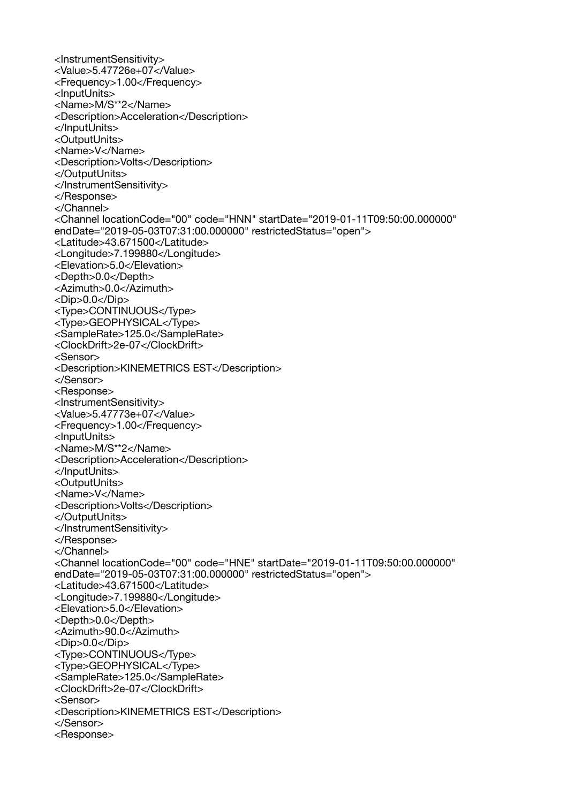<InstrumentSensitivity> <Value>5.47726e+07</Value> <Frequency>1.00</Frequency> <InputUnits> <Name>M/S\*\*2</Name> <Description>Acceleration</Description> </InputUnits> <OutputUnits> <Name>V</Name> <Description>Volts</Description> </OutputUnits> </InstrumentSensitivity> </Response> </Channel> <Channel locationCode="00" code="HNN" startDate="2019-01-11T09:50:00.000000" endDate="2019-05-03T07:31:00.000000" restrictedStatus="open"> <Latitude>43.671500</Latitude> <Longitude>7.199880</Longitude> <Elevation>5.0</Elevation> <Depth>0.0</Depth> <Azimuth>0.0</Azimuth> <Dip>0.0</Dip> <Type>CONTINUOUS</Type> <Type>GEOPHYSICAL</Type> <SampleRate>125.0</SampleRate> <ClockDrift>2e-07</ClockDrift> <Sensor> <Description>KINEMETRICS EST</Description> </Sensor> <Response> <InstrumentSensitivity> <Value>5.47773e+07</Value> <Frequency>1.00</Frequency> <InputUnits> <Name>M/S\*\*2</Name> <Description>Acceleration</Description> </InputUnits> <OutputUnits> <Name>V</Name> <Description>Volts</Description> </OutputUnits> </InstrumentSensitivity> </Response> </Channel> <Channel locationCode="00" code="HNE" startDate="2019-01-11T09:50:00.000000" endDate="2019-05-03T07:31:00.000000" restrictedStatus="open"> <Latitude>43.671500</Latitude> <Longitude>7.199880</Longitude> <Elevation>5.0</Elevation> <Depth>0.0</Depth> <Azimuth>90.0</Azimuth> <Dip>0.0</Dip> <Type>CONTINUOUS</Type> <Type>GEOPHYSICAL</Type> <SampleRate>125.0</SampleRate> <ClockDrift>2e-07</ClockDrift> <Sensor> <Description>KINEMETRICS EST</Description> </Sensor> <Response>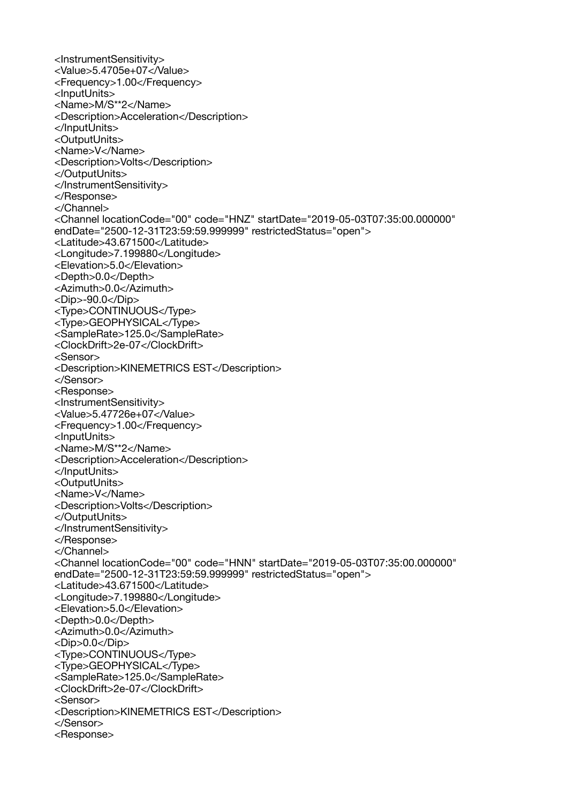<InstrumentSensitivity> <Value>5.4705e+07</Value> <Frequency>1.00</Frequency> <InputUnits> <Name>M/S\*\*2</Name> <Description>Acceleration</Description> </InputUnits> <OutputUnits> <Name>V</Name> <Description>Volts</Description> </OutputUnits> </InstrumentSensitivity> </Response> </Channel> <Channel locationCode="00" code="HNZ" startDate="2019-05-03T07:35:00.000000" endDate="2500-12-31T23:59:59.999999" restrictedStatus="open"> <Latitude>43.671500</Latitude> <Longitude>7.199880</Longitude> <Elevation>5.0</Elevation> <Depth>0.0</Depth> <Azimuth>0.0</Azimuth> <Dip>-90.0</Dip> <Type>CONTINUOUS</Type> <Type>GEOPHYSICAL</Type> <SampleRate>125.0</SampleRate> <ClockDrift>2e-07</ClockDrift> <Sensor> <Description>KINEMETRICS EST</Description> </Sensor> <Response> <InstrumentSensitivity> <Value>5.47726e+07</Value> <Frequency>1.00</Frequency> <InputUnits> <Name>M/S\*\*2</Name> <Description>Acceleration</Description> </InputUnits> <OutputUnits> <Name>V</Name> <Description>Volts</Description> </OutputUnits> </InstrumentSensitivity> </Response> </Channel> <Channel locationCode="00" code="HNN" startDate="2019-05-03T07:35:00.000000" endDate="2500-12-31T23:59:59.999999" restrictedStatus="open"> <Latitude>43.671500</Latitude> <Longitude>7.199880</Longitude> <Elevation>5.0</Elevation> <Depth>0.0</Depth> <Azimuth>0.0</Azimuth> <Dip>0.0</Dip> <Type>CONTINUOUS</Type> <Type>GEOPHYSICAL</Type> <SampleRate>125.0</SampleRate> <ClockDrift>2e-07</ClockDrift> <Sensor> <Description>KINEMETRICS EST</Description> </Sensor> <Response>